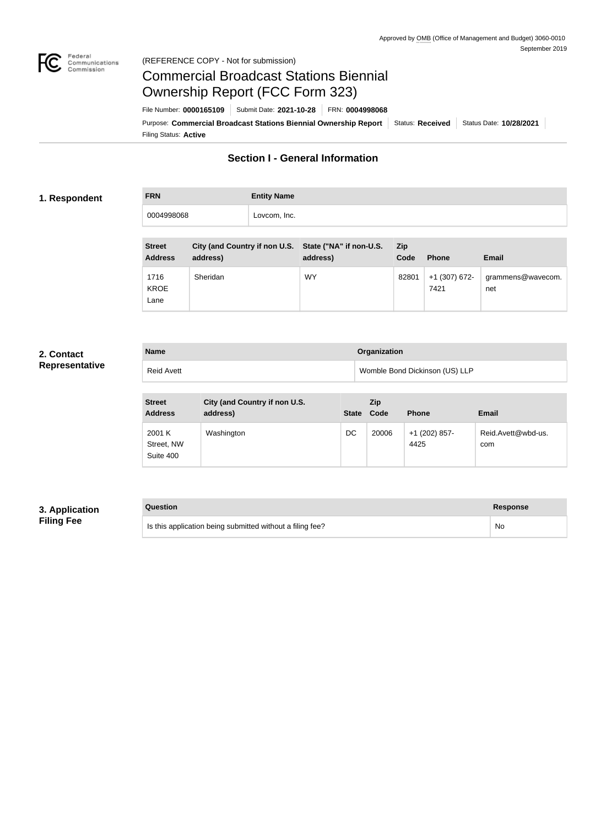

#### Federal<br>Communications<br>Commission (REFERENCE COPY - Not for submission)

# Commercial Broadcast Stations Biennial Ownership Report (FCC Form 323)

Filing Status: **Active** Purpose: Commercial Broadcast Stations Biennial Ownership Report Status: Received Status Date: 10/28/2021 File Number: **0000165109** Submit Date: **2021-10-28** FRN: **0004998068**

# **Section I - General Information**

#### **1. Respondent**

**FRN Entity Name** 0004998068 Lovcom, Inc.

| <b>Street</b><br><b>Address</b> | City (and Country if non U.S. State ("NA" if non-U.S.<br>address) | address)  | <b>Zip</b><br>Code | <b>Phone</b>            | <b>Email</b>             |
|---------------------------------|-------------------------------------------------------------------|-----------|--------------------|-------------------------|--------------------------|
| 1716<br><b>KROE</b><br>Lane     | Sheridan                                                          | <b>WY</b> | 82801              | $+1$ (307) 672-<br>7421 | grammens@wavecom.<br>net |

## **2. Contact Representative**

| <b>Name</b>       | Organization                   |
|-------------------|--------------------------------|
| <b>Reid Avett</b> | Womble Bond Dickinson (US) LLP |

| <b>Street</b><br><b>Address</b>   | City (and Country if non U.S.<br>address) | <b>State</b> | <b>Zip</b><br>Code | <b>Phone</b>          | <b>Email</b>              |
|-----------------------------------|-------------------------------------------|--------------|--------------------|-----------------------|---------------------------|
| 2001 K<br>Street, NW<br>Suite 400 | Washington                                | DC           | 20006              | +1 (202) 857-<br>4425 | Reid.Avett@wbd-us.<br>com |

## **3. Application Filing Fee**

| Question                                                  | Response |
|-----------------------------------------------------------|----------|
| Is this application being submitted without a filing fee? | No       |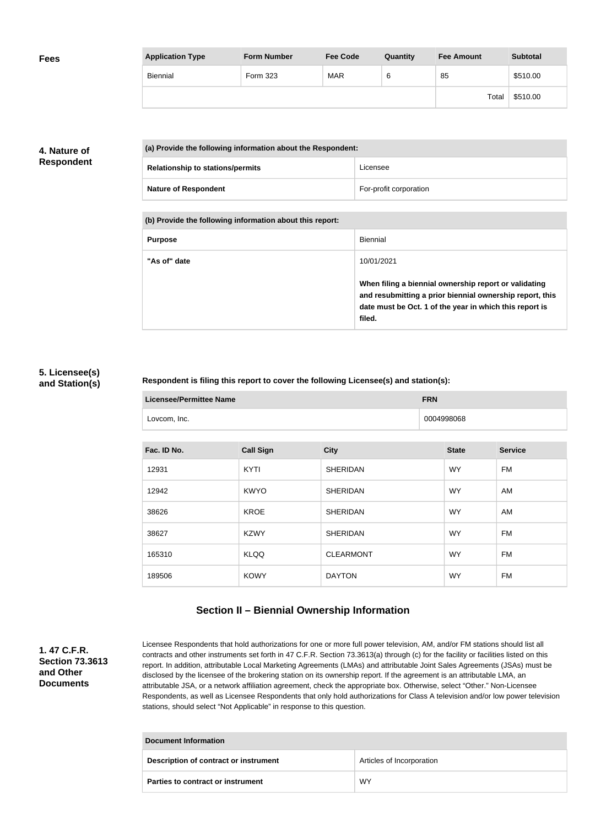| <b>Fees</b> | <b>Application Type</b> | <b>Form Number</b> | <b>Fee Code</b> | Quantity | <b>Fee Amount</b> | <b>Subtotal</b> |
|-------------|-------------------------|--------------------|-----------------|----------|-------------------|-----------------|
|             | Biennial                | Form 323           | MAR             | 6        | 85                | \$510.00        |
|             |                         |                    |                 |          | Total             | \$510.00        |

## **4. Nature of Respondent**

| (a) Provide the following information about the Respondent: |                        |
|-------------------------------------------------------------|------------------------|
| <b>Relationship to stations/permits</b>                     | Licensee               |
| <b>Nature of Respondent</b>                                 | For-profit corporation |

**(b) Provide the following information about this report:**

| <b>Purpose</b> | Biennial                                                                                                                                                                               |
|----------------|----------------------------------------------------------------------------------------------------------------------------------------------------------------------------------------|
| "As of" date   | 10/01/2021                                                                                                                                                                             |
|                | When filing a biennial ownership report or validating<br>and resubmitting a prior biennial ownership report, this<br>date must be Oct. 1 of the year in which this report is<br>filed. |

### **5. Licensee(s) and Station(s)**

#### **Respondent is filing this report to cover the following Licensee(s) and station(s):**

| <b>Licensee/Permittee Name</b> | <b>FRN</b> |
|--------------------------------|------------|
| Lovcom, Inc.                   | 0004998068 |

| Fac. ID No. | <b>Call Sign</b> | <b>City</b>      | <b>State</b> | <b>Service</b> |
|-------------|------------------|------------------|--------------|----------------|
| 12931       | <b>KYTI</b>      | <b>SHERIDAN</b>  | <b>WY</b>    | FM             |
| 12942       | <b>KWYO</b>      | <b>SHERIDAN</b>  | <b>WY</b>    | AM             |
| 38626       | <b>KROE</b>      | <b>SHERIDAN</b>  | <b>WY</b>    | AM             |
| 38627       | <b>KZWY</b>      | <b>SHERIDAN</b>  | <b>WY</b>    | FM             |
| 165310      | <b>KLQQ</b>      | <b>CLEARMONT</b> | <b>WY</b>    | FM             |
| 189506      | <b>KOWY</b>      | <b>DAYTON</b>    | <b>WY</b>    | FM             |

# **Section II – Biennial Ownership Information**

**1. 47 C.F.R. Section 73.3613 and Other Documents**

Licensee Respondents that hold authorizations for one or more full power television, AM, and/or FM stations should list all contracts and other instruments set forth in 47 C.F.R. Section 73.3613(a) through (c) for the facility or facilities listed on this report. In addition, attributable Local Marketing Agreements (LMAs) and attributable Joint Sales Agreements (JSAs) must be disclosed by the licensee of the brokering station on its ownership report. If the agreement is an attributable LMA, an attributable JSA, or a network affiliation agreement, check the appropriate box. Otherwise, select "Other." Non-Licensee Respondents, as well as Licensee Respondents that only hold authorizations for Class A television and/or low power television stations, should select "Not Applicable" in response to this question.

| Document Information                  |                           |  |
|---------------------------------------|---------------------------|--|
| Description of contract or instrument | Articles of Incorporation |  |
| Parties to contract or instrument     | <b>WY</b>                 |  |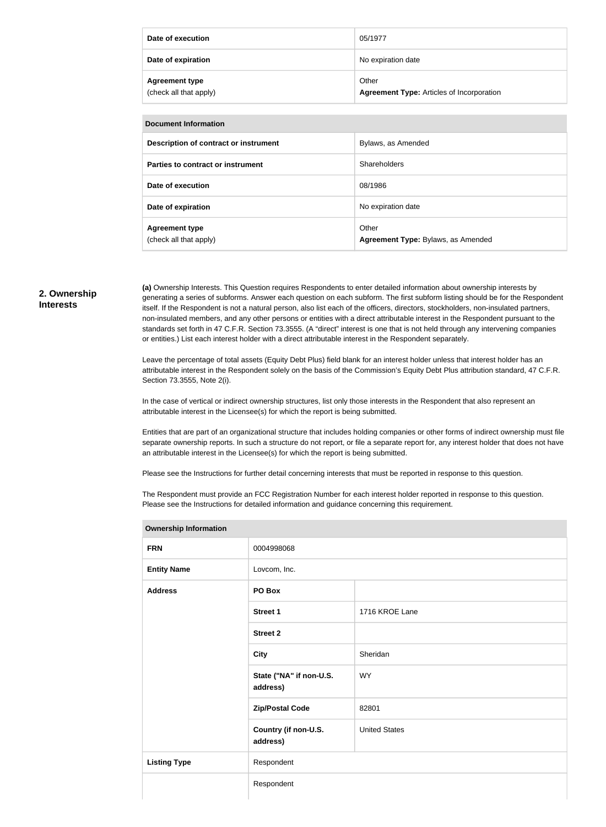| Date of execution                               | 05/1977                                                   |
|-------------------------------------------------|-----------------------------------------------------------|
| Date of expiration                              | No expiration date                                        |
| <b>Agreement type</b><br>(check all that apply) | Other<br><b>Agreement Type: Articles of Incorporation</b> |

| <b>Document Information</b>                     |                                             |  |
|-------------------------------------------------|---------------------------------------------|--|
| Description of contract or instrument           | Bylaws, as Amended                          |  |
| Parties to contract or instrument               | Shareholders                                |  |
| Date of execution                               | 08/1986                                     |  |
| Date of expiration                              | No expiration date                          |  |
| <b>Agreement type</b><br>(check all that apply) | Other<br>Agreement Type: Bylaws, as Amended |  |

#### **2. Ownership Interests**

**(a)** Ownership Interests. This Question requires Respondents to enter detailed information about ownership interests by generating a series of subforms. Answer each question on each subform. The first subform listing should be for the Respondent itself. If the Respondent is not a natural person, also list each of the officers, directors, stockholders, non-insulated partners, non-insulated members, and any other persons or entities with a direct attributable interest in the Respondent pursuant to the standards set forth in 47 C.F.R. Section 73.3555. (A "direct" interest is one that is not held through any intervening companies or entities.) List each interest holder with a direct attributable interest in the Respondent separately.

Leave the percentage of total assets (Equity Debt Plus) field blank for an interest holder unless that interest holder has an attributable interest in the Respondent solely on the basis of the Commission's Equity Debt Plus attribution standard, 47 C.F.R. Section 73.3555, Note 2(i).

In the case of vertical or indirect ownership structures, list only those interests in the Respondent that also represent an attributable interest in the Licensee(s) for which the report is being submitted.

Entities that are part of an organizational structure that includes holding companies or other forms of indirect ownership must file separate ownership reports. In such a structure do not report, or file a separate report for, any interest holder that does not have an attributable interest in the Licensee(s) for which the report is being submitted.

Please see the Instructions for further detail concerning interests that must be reported in response to this question.

The Respondent must provide an FCC Registration Number for each interest holder reported in response to this question. Please see the Instructions for detailed information and guidance concerning this requirement.

| <b>Ownership Information</b> |                                     |                      |  |
|------------------------------|-------------------------------------|----------------------|--|
| <b>FRN</b>                   | 0004998068                          |                      |  |
| <b>Entity Name</b>           | Lovcom, Inc.                        |                      |  |
| <b>Address</b>               | PO Box                              |                      |  |
|                              | <b>Street 1</b>                     | 1716 KROE Lane       |  |
|                              | <b>Street 2</b>                     |                      |  |
|                              | <b>City</b>                         | Sheridan             |  |
|                              | State ("NA" if non-U.S.<br>address) | <b>WY</b>            |  |
|                              | <b>Zip/Postal Code</b>              | 82801                |  |
|                              | Country (if non-U.S.<br>address)    | <b>United States</b> |  |
| <b>Listing Type</b>          | Respondent                          |                      |  |
|                              | Respondent                          |                      |  |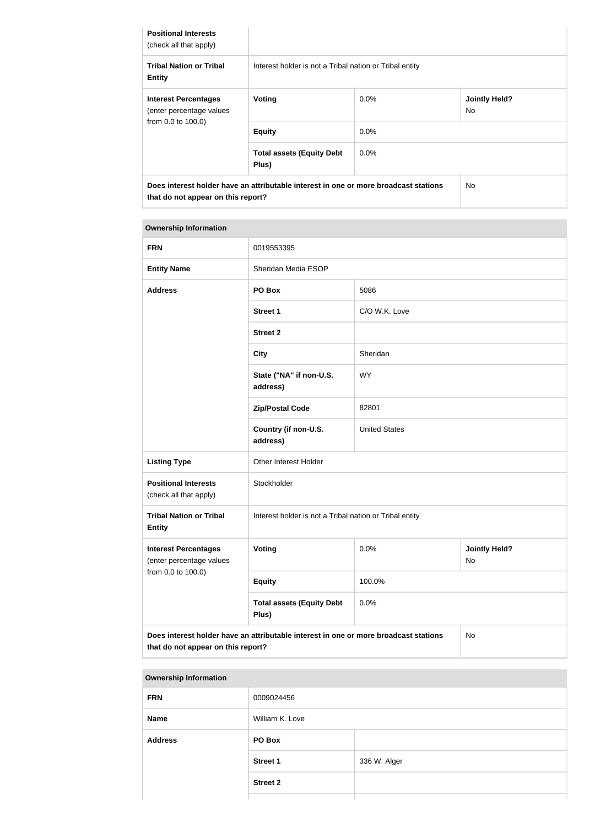| <b>Positional Interests</b><br>(check all that apply)   |                                                                                      |         |                             |
|---------------------------------------------------------|--------------------------------------------------------------------------------------|---------|-----------------------------|
| <b>Tribal Nation or Tribal</b><br><b>Entity</b>         | Interest holder is not a Tribal nation or Tribal entity                              |         |                             |
| <b>Interest Percentages</b><br>(enter percentage values | Voting                                                                               | $0.0\%$ | <b>Jointly Held?</b><br>No. |
| from 0.0 to 100.0)                                      | <b>Equity</b>                                                                        | $0.0\%$ |                             |
|                                                         | <b>Total assets (Equity Debt</b><br>Plus)                                            | $0.0\%$ |                             |
| that do not appear on this report?                      | Does interest holder have an attributable interest in one or more broadcast stations |         | <b>No</b>                   |

#### **Ownership Information**

| <b>FRN</b>                                                                                                                       | 0019553395                                              |                      |                                   |
|----------------------------------------------------------------------------------------------------------------------------------|---------------------------------------------------------|----------------------|-----------------------------------|
| <b>Entity Name</b>                                                                                                               | Sheridan Media ESOP                                     |                      |                                   |
| <b>Address</b>                                                                                                                   | PO Box                                                  | 5086                 |                                   |
|                                                                                                                                  | <b>Street 1</b>                                         | C/O W.K. Love        |                                   |
|                                                                                                                                  | <b>Street 2</b>                                         |                      |                                   |
|                                                                                                                                  | <b>City</b>                                             | Sheridan             |                                   |
|                                                                                                                                  | State ("NA" if non-U.S.<br>address)                     | <b>WY</b>            |                                   |
|                                                                                                                                  | <b>Zip/Postal Code</b>                                  | 82801                |                                   |
|                                                                                                                                  | Country (if non-U.S.<br>address)                        | <b>United States</b> |                                   |
| <b>Listing Type</b>                                                                                                              | Other Interest Holder                                   |                      |                                   |
| <b>Positional Interests</b><br>(check all that apply)                                                                            | Stockholder                                             |                      |                                   |
| <b>Tribal Nation or Tribal</b><br><b>Entity</b>                                                                                  | Interest holder is not a Tribal nation or Tribal entity |                      |                                   |
| <b>Interest Percentages</b><br>(enter percentage values                                                                          | Voting                                                  | 0.0%                 | <b>Jointly Held?</b><br><b>No</b> |
| from 0.0 to 100.0)                                                                                                               | <b>Equity</b>                                           | 100.0%               |                                   |
|                                                                                                                                  | <b>Total assets (Equity Debt</b><br>Plus)               | 0.0%                 |                                   |
| Does interest holder have an attributable interest in one or more broadcast stations<br>No<br>that do not appear on this report? |                                                         |                      |                                   |

| <b>Ownership Information</b> |                 |              |
|------------------------------|-----------------|--------------|
| <b>FRN</b>                   | 0009024456      |              |
| <b>Name</b>                  | William K. Love |              |
| <b>Address</b>               | PO Box          |              |
|                              | <b>Street 1</b> | 336 W. Alger |
|                              | <b>Street 2</b> |              |
|                              |                 |              |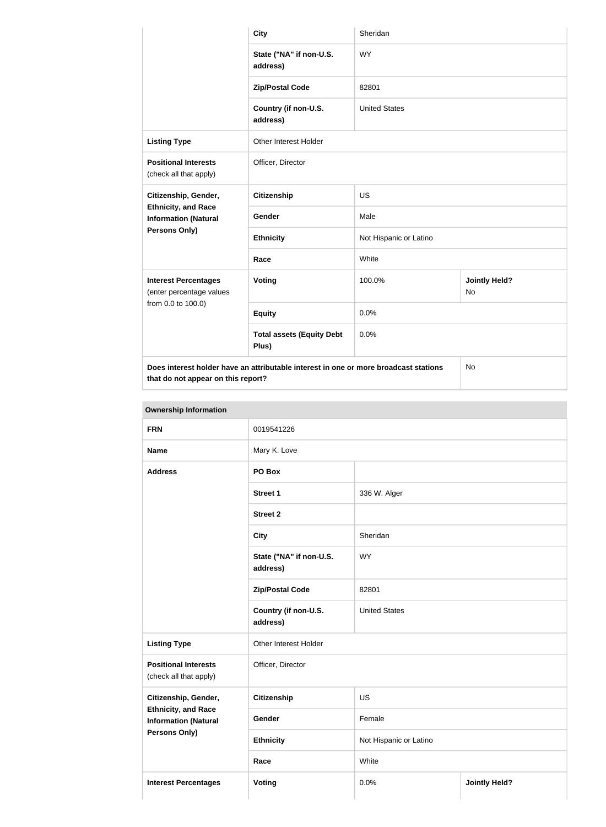|                                                           | <b>City</b>                                                                          | Sheridan               |                            |
|-----------------------------------------------------------|--------------------------------------------------------------------------------------|------------------------|----------------------------|
|                                                           | State ("NA" if non-U.S.<br>address)                                                  | <b>WY</b>              |                            |
|                                                           | <b>Zip/Postal Code</b>                                                               | 82801                  |                            |
|                                                           | Country (if non-U.S.<br>address)                                                     | <b>United States</b>   |                            |
| <b>Listing Type</b>                                       | Other Interest Holder                                                                |                        |                            |
| <b>Positional Interests</b><br>(check all that apply)     | Officer, Director                                                                    |                        |                            |
| Citizenship, Gender,                                      | <b>Citizenship</b>                                                                   | <b>US</b>              |                            |
| <b>Ethnicity, and Race</b><br><b>Information (Natural</b> | Gender                                                                               | Male                   |                            |
| <b>Persons Only)</b>                                      | <b>Ethnicity</b>                                                                     | Not Hispanic or Latino |                            |
|                                                           | Race                                                                                 | White                  |                            |
| <b>Interest Percentages</b><br>(enter percentage values   | Voting                                                                               | 100.0%                 | <b>Jointly Held?</b><br>No |
| from 0.0 to 100.0)                                        | <b>Equity</b>                                                                        | 0.0%                   |                            |
|                                                           | <b>Total assets (Equity Debt</b><br>Plus)                                            | 0.0%                   |                            |
|                                                           | Does interest holder have an attributable interest in one or more broadcast stations |                        | No                         |

**that do not appear on this report?**

| <b>FRN</b>                                                |                                     |                              |  |
|-----------------------------------------------------------|-------------------------------------|------------------------------|--|
|                                                           | 0019541226                          |                              |  |
| <b>Name</b>                                               | Mary K. Love                        |                              |  |
| <b>Address</b>                                            | PO Box                              |                              |  |
|                                                           | <b>Street 1</b>                     | 336 W. Alger                 |  |
|                                                           | <b>Street 2</b>                     |                              |  |
|                                                           | <b>City</b>                         | Sheridan                     |  |
|                                                           | State ("NA" if non-U.S.<br>address) | <b>WY</b>                    |  |
|                                                           | <b>Zip/Postal Code</b>              | 82801                        |  |
|                                                           | Country (if non-U.S.<br>address)    | <b>United States</b>         |  |
| <b>Listing Type</b>                                       | Other Interest Holder               |                              |  |
| <b>Positional Interests</b><br>(check all that apply)     | Officer, Director                   |                              |  |
| Citizenship, Gender,                                      | <b>Citizenship</b>                  | <b>US</b>                    |  |
| <b>Ethnicity, and Race</b><br><b>Information (Natural</b> | Gender                              | Female                       |  |
| <b>Persons Only)</b>                                      | <b>Ethnicity</b>                    | Not Hispanic or Latino       |  |
|                                                           | White<br>Race                       |                              |  |
| <b>Interest Percentages</b>                               | <b>Voting</b>                       | <b>Jointly Held?</b><br>0.0% |  |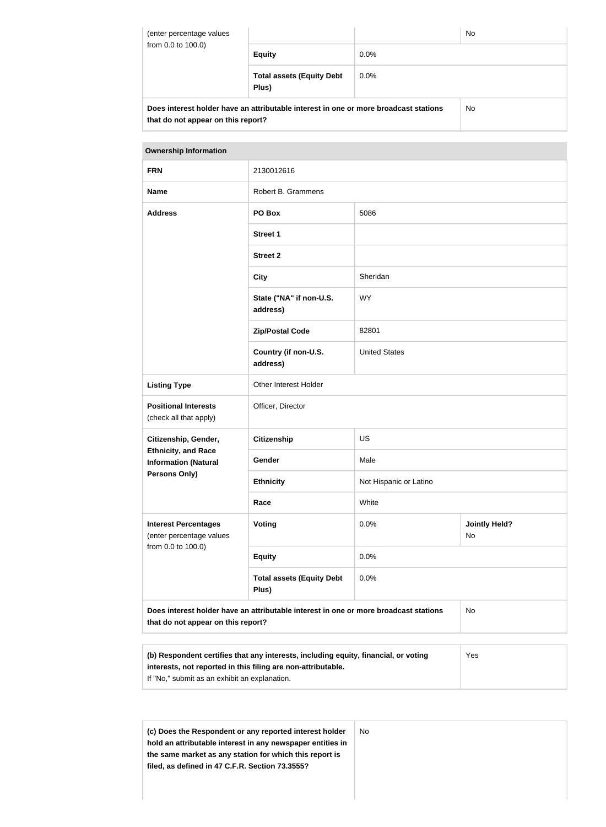| (enter percentage values<br>from 0.0 to 100.0)                                                                             |                                           |         | <b>No</b> |
|----------------------------------------------------------------------------------------------------------------------------|-------------------------------------------|---------|-----------|
|                                                                                                                            | <b>Equity</b>                             | $0.0\%$ |           |
|                                                                                                                            | <b>Total assets (Equity Debt</b><br>Plus) | $0.0\%$ |           |
| Does interest holder have an attributable interest in one or more broadcast stations<br>that do not appear on this report? |                                           |         | <b>No</b> |

#### **Ownership Information**

| <b>FRN</b>                                                | 2130012616                                                                                                                       |                        |                            |
|-----------------------------------------------------------|----------------------------------------------------------------------------------------------------------------------------------|------------------------|----------------------------|
| <b>Name</b>                                               | Robert B. Grammens                                                                                                               |                        |                            |
| <b>Address</b>                                            | PO Box                                                                                                                           | 5086                   |                            |
|                                                           | <b>Street 1</b>                                                                                                                  |                        |                            |
|                                                           | <b>Street 2</b>                                                                                                                  |                        |                            |
|                                                           | <b>City</b>                                                                                                                      | Sheridan               |                            |
|                                                           | State ("NA" if non-U.S.<br>address)                                                                                              | <b>WY</b>              |                            |
|                                                           | <b>Zip/Postal Code</b>                                                                                                           | 82801                  |                            |
|                                                           | Country (if non-U.S.<br>address)                                                                                                 | <b>United States</b>   |                            |
| <b>Listing Type</b>                                       | Other Interest Holder                                                                                                            |                        |                            |
| <b>Positional Interests</b><br>(check all that apply)     | Officer, Director                                                                                                                |                        |                            |
| Citizenship, Gender,                                      | <b>Citizenship</b>                                                                                                               | <b>US</b>              |                            |
| <b>Ethnicity, and Race</b><br><b>Information (Natural</b> | Gender                                                                                                                           | Male                   |                            |
| <b>Persons Only)</b>                                      | <b>Ethnicity</b>                                                                                                                 | Not Hispanic or Latino |                            |
|                                                           | Race                                                                                                                             | White                  |                            |
| <b>Interest Percentages</b><br>(enter percentage values   | <b>Voting</b>                                                                                                                    | 0.0%                   | <b>Jointly Held?</b><br>No |
| from 0.0 to 100.0)                                        | <b>Equity</b>                                                                                                                    | 0.0%                   |                            |
|                                                           | <b>Total assets (Equity Debt</b><br>Plus)                                                                                        | 0.0%                   |                            |
|                                                           | Does interest holder have an attributable interest in one or more broadcast stations<br>No<br>that do not appear on this report? |                        |                            |

| (b) Respondent certifies that any interests, including equity, financial, or voting | Yes |
|-------------------------------------------------------------------------------------|-----|
| interests, not reported in this filing are non-attributable.                        |     |
| If "No," submit as an exhibit an explanation.                                       |     |

**(c) Does the Respondent or any reported interest holder hold an attributable interest in any newspaper entities in the same market as any station for which this report is filed, as defined in 47 C.F.R. Section 73.3555?** No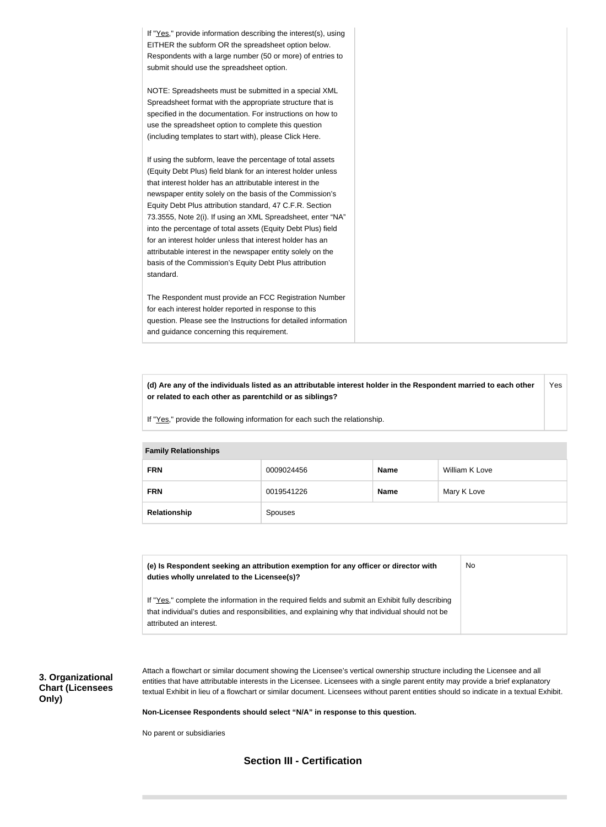If "Yes," provide information describing the interest(s), using EITHER the subform OR the spreadsheet option below. Respondents with a large number (50 or more) of entries to submit should use the spreadsheet option. NOTE: Spreadsheets must be submitted in a special XML Spreadsheet format with the appropriate structure that is specified in the documentation. For instructions on how to use the spreadsheet option to complete this question (including templates to start with), please Click Here. If using the subform, leave the percentage of total assets (Equity Debt Plus) field blank for an interest holder unless that interest holder has an attributable interest in the newspaper entity solely on the basis of the Commission's Equity Debt Plus attribution standard, 47 C.F.R. Section 73.3555, Note 2(i). If using an XML Spreadsheet, enter "NA" into the percentage of total assets (Equity Debt Plus) field for an interest holder unless that interest holder has an attributable interest in the newspaper entity solely on the basis of the Commission's Equity Debt Plus attribution standard. The Respondent must provide an FCC Registration Number for each interest holder reported in response to this question. Please see the Instructions for detailed information and guidance concerning this requirement.

**(d) Are any of the individuals listed as an attributable interest holder in the Respondent married to each other or related to each other as parentchild or as siblings?** Yes

If "Yes," provide the following information for each such the relationship.

| <b>Family Relationships</b> |                |             |                |
|-----------------------------|----------------|-------------|----------------|
| <b>FRN</b>                  | 0009024456     | <b>Name</b> | William K Love |
| <b>FRN</b>                  | 0019541226     | <b>Name</b> | Mary K Love    |
| Relationship                | <b>Spouses</b> |             |                |

| (e) Is Respondent seeking an attribution exemption for any officer or director with<br>duties wholly unrelated to the Licensee(s)?                                                                                             | No. |
|--------------------------------------------------------------------------------------------------------------------------------------------------------------------------------------------------------------------------------|-----|
| If "Yes," complete the information in the required fields and submit an Exhibit fully describing<br>that individual's duties and responsibilities, and explaining why that individual should not be<br>attributed an interest. |     |

**3. Organizational Chart (Licensees Only)**

Attach a flowchart or similar document showing the Licensee's vertical ownership structure including the Licensee and all entities that have attributable interests in the Licensee. Licensees with a single parent entity may provide a brief explanatory textual Exhibit in lieu of a flowchart or similar document. Licensees without parent entities should so indicate in a textual Exhibit.

**Non-Licensee Respondents should select "N/A" in response to this question.**

No parent or subsidiaries

## **Section III - Certification**